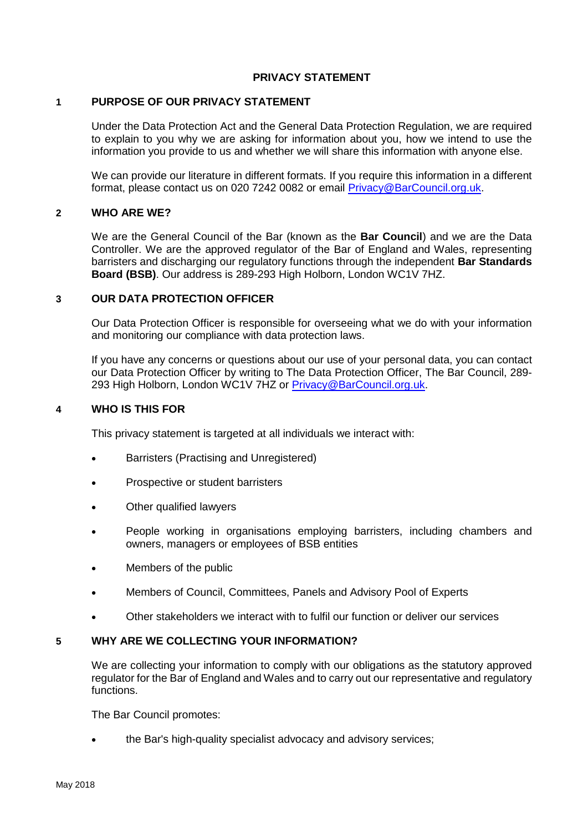## **PRIVACY STATEMENT**

#### **1 PURPOSE OF OUR PRIVACY STATEMENT**

Under the Data Protection Act and the General Data Protection Regulation, we are required to explain to you why we are asking for information about you, how we intend to use the information you provide to us and whether we will share this information with anyone else.

We can provide our literature in different formats. If you require this information in a different format, please contact us on 020 7242 0082 or email [Privacy@BarCouncil.org.uk.](mailto:Privacy@BarCouncil.org.uk)

## **2 WHO ARE WE?**

We are the General Council of the Bar (known as the **Bar Council**) and we are the Data Controller. We are the approved regulator of the Bar of England and Wales, representing barristers and discharging our regulatory functions through the independent **Bar Standards Board (BSB)**. Our address is 289-293 High Holborn, London WC1V 7HZ.

#### **3 OUR DATA PROTECTION OFFICER**

Our Data Protection Officer is responsible for overseeing what we do with your information and monitoring our compliance with data protection laws.

If you have any concerns or questions about our use of your personal data, you can contact our Data Protection Officer by writing to The Data Protection Officer, The Bar Council, 289- 293 High Holborn, London WC1V 7HZ or [Privacy@BarCouncil.org.uk.](mailto:Privacy@BarCouncil.org.uk)

#### **4 WHO IS THIS FOR**

This privacy statement is targeted at all individuals we interact with:

- Barristers (Practising and Unregistered)
- Prospective or student barristers
- Other qualified lawyers
- People working in organisations employing barristers, including chambers and owners, managers or employees of BSB entities
- Members of the public
- Members of Council, Committees, Panels and Advisory Pool of Experts
- Other stakeholders we interact with to fulfil our function or deliver our services

#### **5 WHY ARE WE COLLECTING YOUR INFORMATION?**

We are collecting your information to comply with our obligations as the statutory approved regulator for the Bar of England and Wales and to carry out our representative and regulatory functions.

The Bar Council promotes:

• the Bar's high-quality specialist advocacy and advisory services;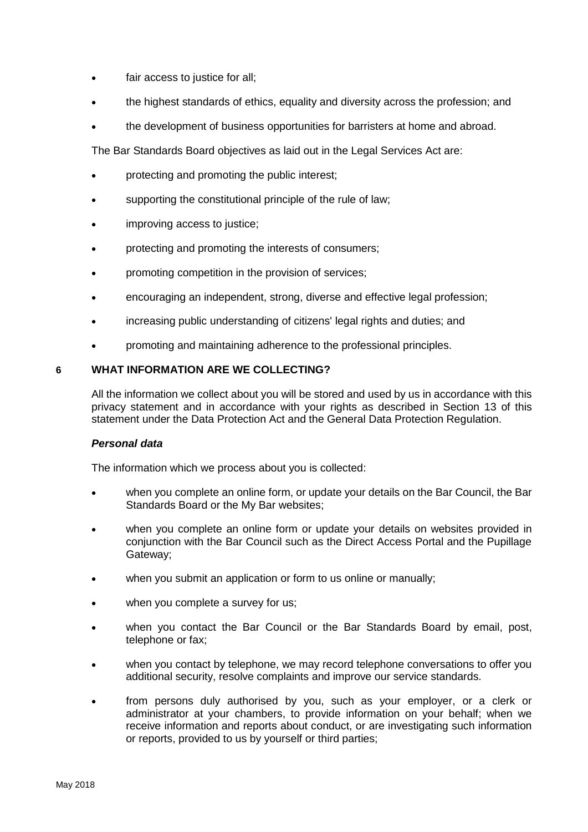- fair access to justice for all;
- the highest standards of ethics, equality and diversity across the profession; and
- the development of business opportunities for barristers at home and abroad.

The Bar Standards Board objectives as laid out in the Legal Services Act are:

- protecting and promoting the public interest;
- supporting the constitutional principle of the rule of law;
- improving access to justice;
- protecting and promoting the interests of consumers;
- promoting competition in the provision of services;
- encouraging an independent, strong, diverse and effective legal profession;
- increasing public understanding of citizens' legal rights and duties; and
- promoting and maintaining adherence to the professional principles.

# **6 WHAT INFORMATION ARE WE COLLECTING?**

All the information we collect about you will be stored and used by us in accordance with this privacy statement and in accordance with your rights as described in Section 13 of this statement under the Data Protection Act and the General Data Protection Regulation.

# *Personal data*

The information which we process about you is collected:

- when you complete an online form, or update your details on the Bar Council, the Bar Standards Board or the My Bar websites;
- when you complete an online form or update your details on websites provided in conjunction with the Bar Council such as the Direct Access Portal and the Pupillage Gateway;
- when you submit an application or form to us online or manually;
- when you complete a survey for us;
- when you contact the Bar Council or the Bar Standards Board by email, post, telephone or fax;
- when you contact by telephone, we may record telephone conversations to offer you additional security, resolve complaints and improve our service standards.
- from persons duly authorised by you, such as your employer, or a clerk or administrator at your chambers, to provide information on your behalf; when we receive information and reports about conduct, or are investigating such information or reports, provided to us by yourself or third parties;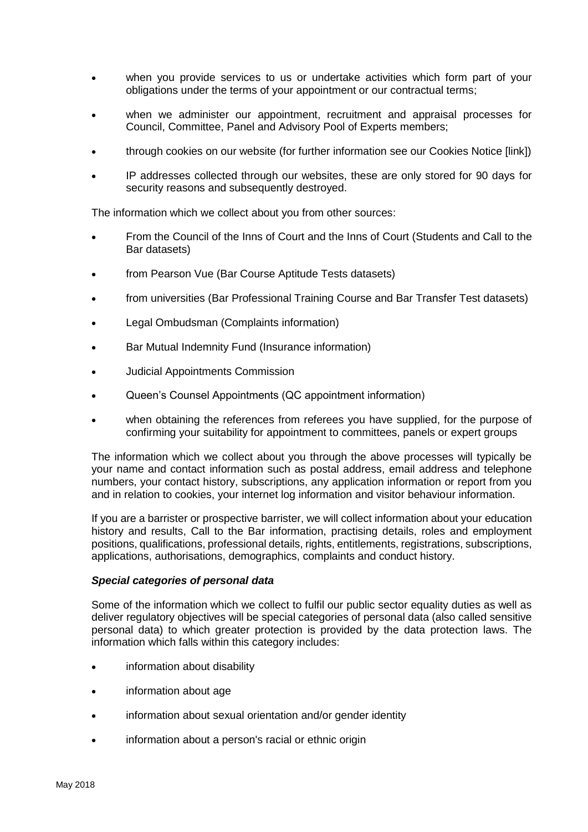- when you provide services to us or undertake activities which form part of your obligations under the terms of your appointment or our contractual terms;
- when we administer our appointment, recruitment and appraisal processes for Council, Committee, Panel and Advisory Pool of Experts members;
- through cookies on our website (for further information see our Cookies Notice [link])
- IP addresses collected through our websites, these are only stored for 90 days for security reasons and subsequently destroyed.

The information which we collect about you from other sources:

- From the Council of the Inns of Court and the Inns of Court (Students and Call to the Bar datasets)
- from Pearson Vue (Bar Course Aptitude Tests datasets)
- from universities (Bar Professional Training Course and Bar Transfer Test datasets)
- Legal Ombudsman (Complaints information)
- Bar Mutual Indemnity Fund (Insurance information)
- Judicial Appointments Commission
- Queen's Counsel Appointments (QC appointment information)
- when obtaining the references from referees you have supplied, for the purpose of confirming your suitability for appointment to committees, panels or expert groups

The information which we collect about you through the above processes will typically be your name and contact information such as postal address, email address and telephone numbers, your contact history, subscriptions, any application information or report from you and in relation to cookies, your internet log information and visitor behaviour information.

If you are a barrister or prospective barrister, we will collect information about your education history and results, Call to the Bar information, practising details, roles and employment positions, qualifications, professional details, rights, entitlements, registrations, subscriptions, applications, authorisations, demographics, complaints and conduct history.

#### *Special categories of personal data*

Some of the information which we collect to fulfil our public sector equality duties as well as deliver regulatory objectives will be special categories of personal data (also called sensitive personal data) to which greater protection is provided by the data protection laws. The information which falls within this category includes:

- information about disability
- information about age
- information about sexual orientation and/or gender identity
- information about a person's racial or ethnic origin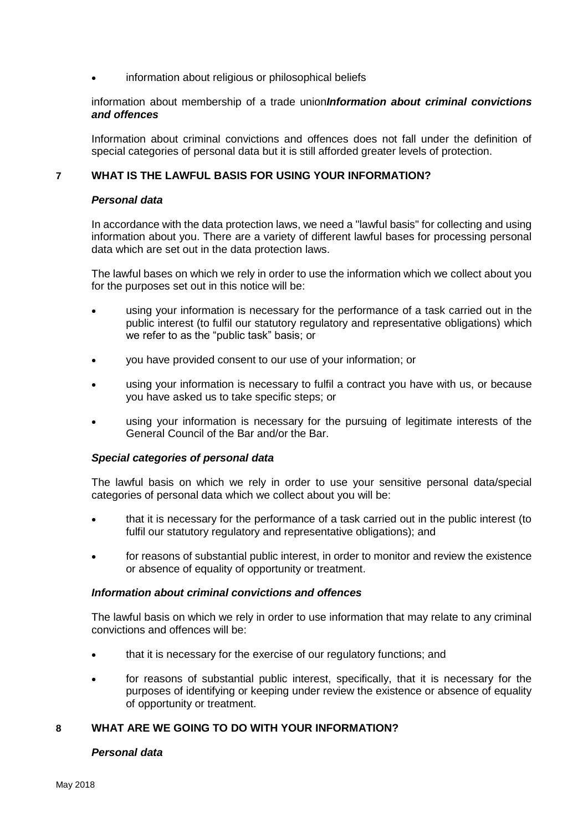information about religious or philosophical beliefs

information about membership of a trade union*Information about criminal convictions and offences*

Information about criminal convictions and offences does not fall under the definition of special categories of personal data but it is still afforded greater levels of protection.

## **7 WHAT IS THE LAWFUL BASIS FOR USING YOUR INFORMATION?**

#### *Personal data*

In accordance with the data protection laws, we need a "lawful basis" for collecting and using information about you. There are a variety of different lawful bases for processing personal data which are set out in the data protection laws.

The lawful bases on which we rely in order to use the information which we collect about you for the purposes set out in this notice will be:

- using your information is necessary for the performance of a task carried out in the public interest (to fulfil our statutory regulatory and representative obligations) which we refer to as the "public task" basis; or
- you have provided consent to our use of your information; or
- using your information is necessary to fulfil a contract you have with us, or because you have asked us to take specific steps; or
- using your information is necessary for the pursuing of legitimate interests of the General Council of the Bar and/or the Bar.

#### *Special categories of personal data*

The lawful basis on which we rely in order to use your sensitive personal data/special categories of personal data which we collect about you will be:

- that it is necessary for the performance of a task carried out in the public interest (to fulfil our statutory regulatory and representative obligations); and
- for reasons of substantial public interest, in order to monitor and review the existence or absence of equality of opportunity or treatment.

#### *Information about criminal convictions and offences*

The lawful basis on which we rely in order to use information that may relate to any criminal convictions and offences will be:

- that it is necessary for the exercise of our regulatory functions; and
- for reasons of substantial public interest, specifically, that it is necessary for the purposes of identifying or keeping under review the existence or absence of equality of opportunity or treatment.

# **8 WHAT ARE WE GOING TO DO WITH YOUR INFORMATION?**

# *Personal data*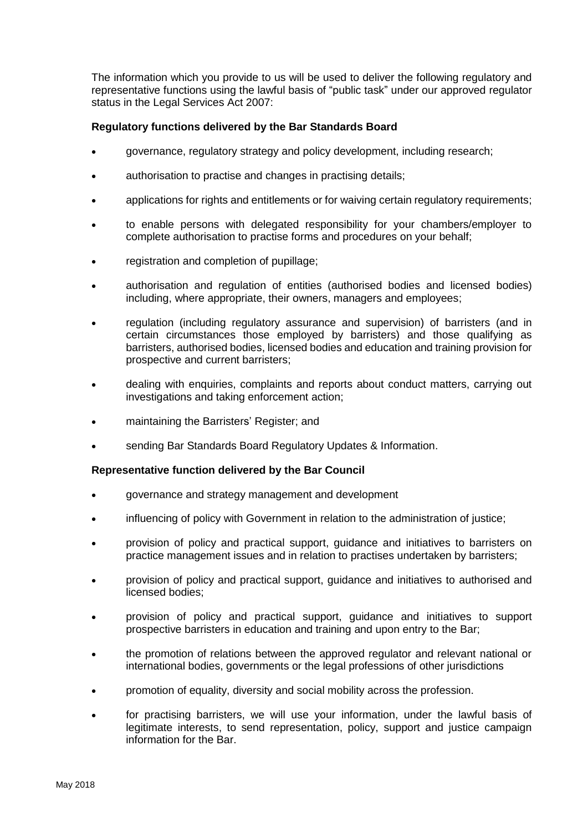The information which you provide to us will be used to deliver the following regulatory and representative functions using the lawful basis of "public task" under our approved regulator status in the Legal Services Act 2007:

## **Regulatory functions delivered by the Bar Standards Board**

- governance, regulatory strategy and policy development, including research;
- authorisation to practise and changes in practising details;
- applications for rights and entitlements or for waiving certain regulatory requirements;
- to enable persons with delegated responsibility for your chambers/employer to complete authorisation to practise forms and procedures on your behalf;
- registration and completion of pupillage;
- authorisation and regulation of entities (authorised bodies and licensed bodies) including, where appropriate, their owners, managers and employees;
- regulation (including regulatory assurance and supervision) of barristers (and in certain circumstances those employed by barristers) and those qualifying as barristers, authorised bodies, licensed bodies and education and training provision for prospective and current barristers;
- dealing with enquiries, complaints and reports about conduct matters, carrying out investigations and taking enforcement action;
- maintaining the Barristers' Register; and
- sending Bar Standards Board Regulatory Updates & Information.

#### **Representative function delivered by the Bar Council**

- governance and strategy management and development
- influencing of policy with Government in relation to the administration of justice;
- provision of policy and practical support, guidance and initiatives to barristers on practice management issues and in relation to practises undertaken by barristers;
- provision of policy and practical support, guidance and initiatives to authorised and licensed bodies;
- provision of policy and practical support, guidance and initiatives to support prospective barristers in education and training and upon entry to the Bar;
- the promotion of relations between the approved regulator and relevant national or international bodies, governments or the legal professions of other jurisdictions
- promotion of equality, diversity and social mobility across the profession.
- for practising barristers, we will use your information, under the lawful basis of legitimate interests, to send representation, policy, support and justice campaign information for the Bar.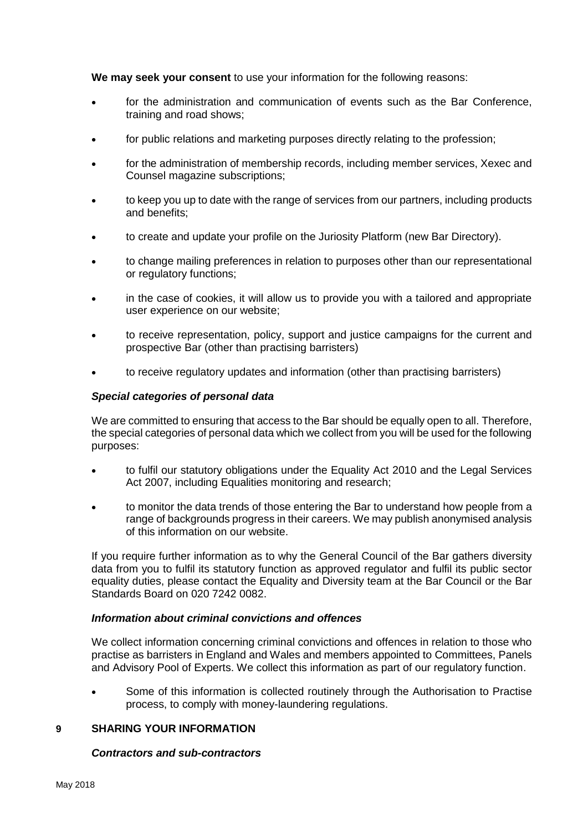**We may seek your consent** to use your information for the following reasons:

- for the administration and communication of events such as the Bar Conference, training and road shows;
- for public relations and marketing purposes directly relating to the profession;
- for the administration of membership records, including member services, Xexec and Counsel magazine subscriptions;
- to keep you up to date with the range of services from our partners, including products and benefits;
- to create and update your profile on the Juriosity Platform (new Bar Directory).
- to change mailing preferences in relation to purposes other than our representational or regulatory functions;
- in the case of cookies, it will allow us to provide you with a tailored and appropriate user experience on our website;
- to receive representation, policy, support and justice campaigns for the current and prospective Bar (other than practising barristers)
- to receive regulatory updates and information (other than practising barristers)

#### *Special categories of personal data*

We are committed to ensuring that access to the Bar should be equally open to all. Therefore, the special categories of personal data which we collect from you will be used for the following purposes:

- to fulfil our statutory obligations under the Equality Act 2010 and the Legal Services Act 2007, including Equalities monitoring and research:
- to monitor the data trends of those entering the Bar to understand how people from a range of backgrounds progress in their careers. We may publish anonymised analysis of this information on our website.

If you require further information as to why the General Council of the Bar gathers diversity data from you to fulfil its statutory function as approved regulator and fulfil its public sector equality duties, please contact the Equality and Diversity team at the Bar Council or the Bar Standards Board on 020 7242 0082.

#### *Information about criminal convictions and offences*

We collect information concerning criminal convictions and offences in relation to those who practise as barristers in England and Wales and members appointed to Committees, Panels and Advisory Pool of Experts. We collect this information as part of our regulatory function.

• Some of this information is collected routinely through the Authorisation to Practise process, to comply with money-laundering regulations.

#### **9 SHARING YOUR INFORMATION**

#### *Contractors and sub-contractors*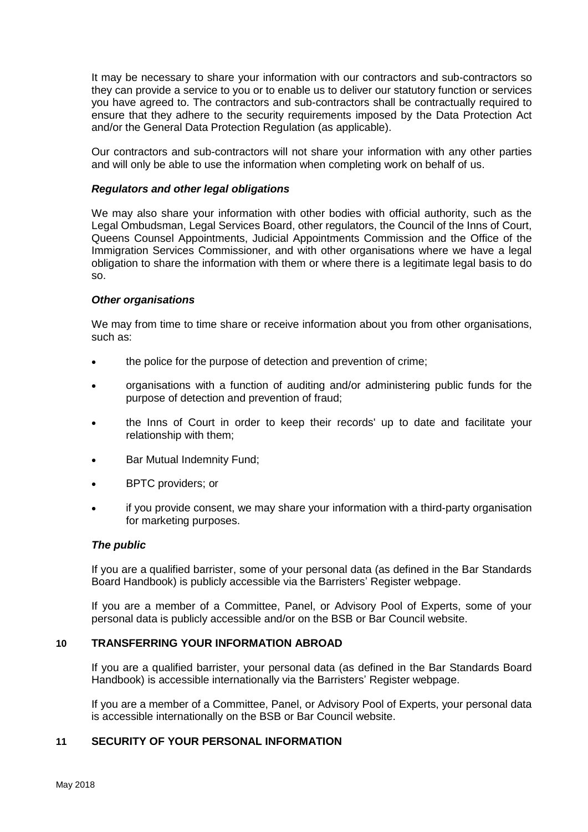It may be necessary to share your information with our contractors and sub-contractors so they can provide a service to you or to enable us to deliver our statutory function or services you have agreed to. The contractors and sub-contractors shall be contractually required to ensure that they adhere to the security requirements imposed by the Data Protection Act and/or the General Data Protection Regulation (as applicable).

Our contractors and sub-contractors will not share your information with any other parties and will only be able to use the information when completing work on behalf of us.

#### *Regulators and other legal obligations*

We may also share your information with other bodies with official authority, such as the Legal Ombudsman, Legal Services Board, other regulators, the Council of the Inns of Court, Queens Counsel Appointments, Judicial Appointments Commission and the Office of the Immigration Services Commissioner, and with other organisations where we have a legal obligation to share the information with them or where there is a legitimate legal basis to do so.

#### *Other organisations*

We may from time to time share or receive information about you from other organisations, such as:

- the police for the purpose of detection and prevention of crime;
- organisations with a function of auditing and/or administering public funds for the purpose of detection and prevention of fraud;
- the Inns of Court in order to keep their records' up to date and facilitate your relationship with them;
- Bar Mutual Indemnity Fund;
- BPTC providers; or
- if you provide consent, we may share your information with a third-party organisation for marketing purposes.

#### *The public*

If you are a qualified barrister, some of your personal data (as defined in the Bar Standards Board Handbook) is publicly accessible via the Barristers' Register webpage.

If you are a member of a Committee, Panel, or Advisory Pool of Experts, some of your personal data is publicly accessible and/or on the BSB or Bar Council website.

## **10 TRANSFERRING YOUR INFORMATION ABROAD**

If you are a qualified barrister, your personal data (as defined in the Bar Standards Board Handbook) is accessible internationally via the Barristers' Register webpage.

If you are a member of a Committee, Panel, or Advisory Pool of Experts, your personal data is accessible internationally on the BSB or Bar Council website.

# **11 SECURITY OF YOUR PERSONAL INFORMATION**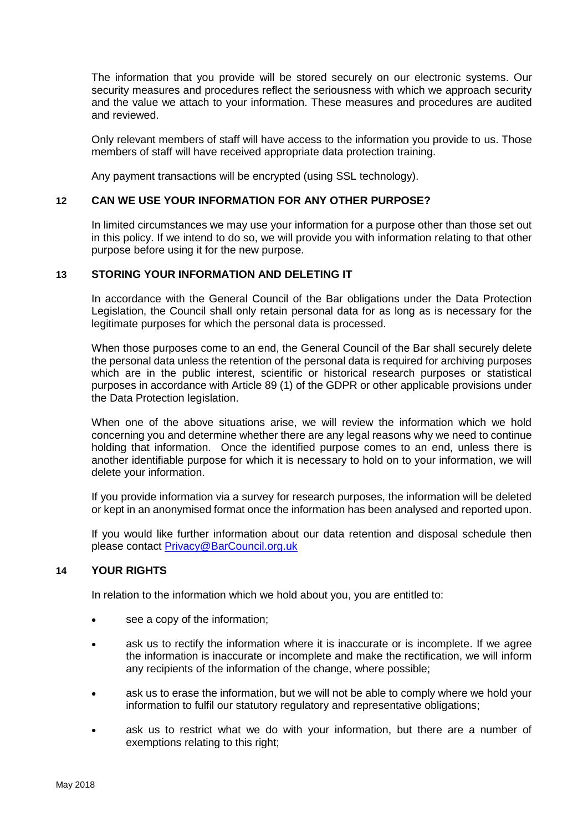The information that you provide will be stored securely on our electronic systems. Our security measures and procedures reflect the seriousness with which we approach security and the value we attach to your information. These measures and procedures are audited and reviewed.

Only relevant members of staff will have access to the information you provide to us. Those members of staff will have received appropriate data protection training.

Any payment transactions will be encrypted (using SSL technology).

# **12 CAN WE USE YOUR INFORMATION FOR ANY OTHER PURPOSE?**

In limited circumstances we may use your information for a purpose other than those set out in this policy. If we intend to do so, we will provide you with information relating to that other purpose before using it for the new purpose.

## **13 STORING YOUR INFORMATION AND DELETING IT**

In accordance with the General Council of the Bar obligations under the Data Protection Legislation, the Council shall only retain personal data for as long as is necessary for the legitimate purposes for which the personal data is processed.

When those purposes come to an end, the General Council of the Bar shall securely delete the personal data unless the retention of the personal data is required for archiving purposes which are in the public interest, scientific or historical research purposes or statistical purposes in accordance with Article 89 (1) of the GDPR or other applicable provisions under the Data Protection legislation.

When one of the above situations arise, we will review the information which we hold concerning you and determine whether there are any legal reasons why we need to continue holding that information. Once the identified purpose comes to an end, unless there is another identifiable purpose for which it is necessary to hold on to your information, we will delete your information.

If you provide information via a survey for research purposes, the information will be deleted or kept in an anonymised format once the information has been analysed and reported upon.

If you would like further information about our data retention and disposal schedule then please contact [Privacy@BarCouncil.org.uk](mailto:Privacy@BarCouncil.org.uk)

# **14 YOUR RIGHTS**

In relation to the information which we hold about you, you are entitled to:

- see a copy of the information;
- ask us to rectify the information where it is inaccurate or is incomplete. If we agree the information is inaccurate or incomplete and make the rectification, we will inform any recipients of the information of the change, where possible;
- ask us to erase the information, but we will not be able to comply where we hold your information to fulfil our statutory regulatory and representative obligations;
- ask us to restrict what we do with your information, but there are a number of exemptions relating to this right;